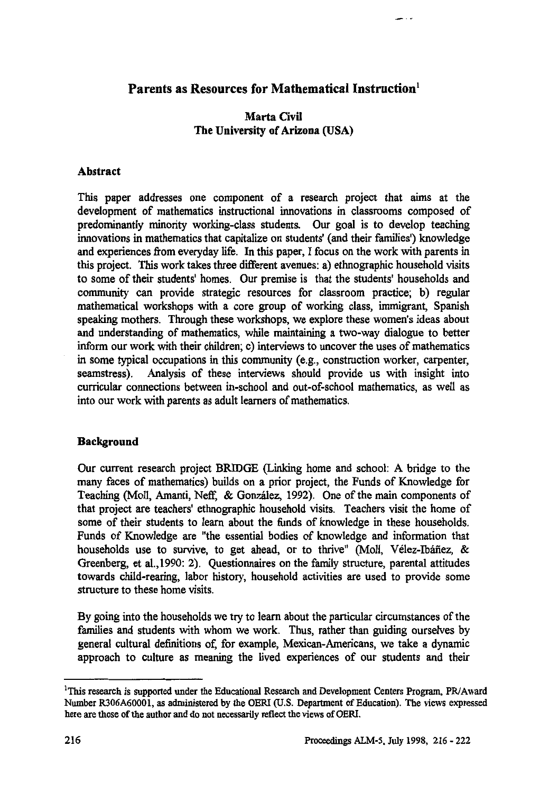# **Parents as Resources for Mathematical Instruction'**

### **Marta Civil The University of Arizona (USA)**

### **Abstract**

**This paper addresses one component of a research project that aims at the development of mathematics instructional innovations in classrooms composed of predominantly minority working-class students. Our goal is to develop teaching innovations in mathematics that capitalize on students' (and their families') knowledge and experiences from everyday life. In this paper, I focus on the work with parents in this project. This work takes three different avenues: a) ethnographic household visits to some of their students' homes. Our premise is that the students' households and community can provide strategic resources for classroom practice; b) regular mathematical workshops with a core group of working class, immigrant, Spanish speaking mothers. Through these workshops, we explore these women's ideas about and understanding of mathematics, while maintaining a two-way dialogue to better inform our work with their children; c) interviews to uncover the uses of mathematics in some typical occupations in this community (e.g., construction worker, carpenter, seamstress). Analysis of these interviews should provide us with insight into curricular connections between in-school and out-of-school mathematics, as well as into our work with parents as adult learners of mathematics.**

### **Background**

**Our current research project BRIDGE (Linking home and school: A bridge to the many faces of mathematics) builds on a prior project, the Funds of Knowledge for Teaching (Moll, Amanti, Neff; & Gonzâlez, 1992). One of the main components of that project are teachers' ethnographic household visits. Teachers visit the home of some of their students to learn about the funds of knowledge in these households. Funds of Knowledge are "the essential bodies of knowledge and information that households use to survive, to get ahead, or to thrive" (Moll, Greenberg, et al.,1990: 2). Questionnaires on the family structure, parental attitudes** ain components of<br>s visit the home of<br>these households.<br>d information that<br>Nélez-Ibáñez, &<br><sub>i</sub>, parental attitudes **towards child-rearing, labor history, household activities are used to provide some structure to these home visits.**

**By going into the households we try to learn about the particular circumstances of the families and students with whom we work. Thus, rather than guiding ourselves by general cultural definitions of, for example, Mexican-Americans, we take a dynamic approach to culture as meaning the lived experiences of our students and their**

**This research is supported under the Educational Research and Development Centers Program, PR/Award Number R306A60001, as administered by the OERI (U.S. Department of Education). The views expressed here are those of the author and do not necessarily reflect the views of OERI.**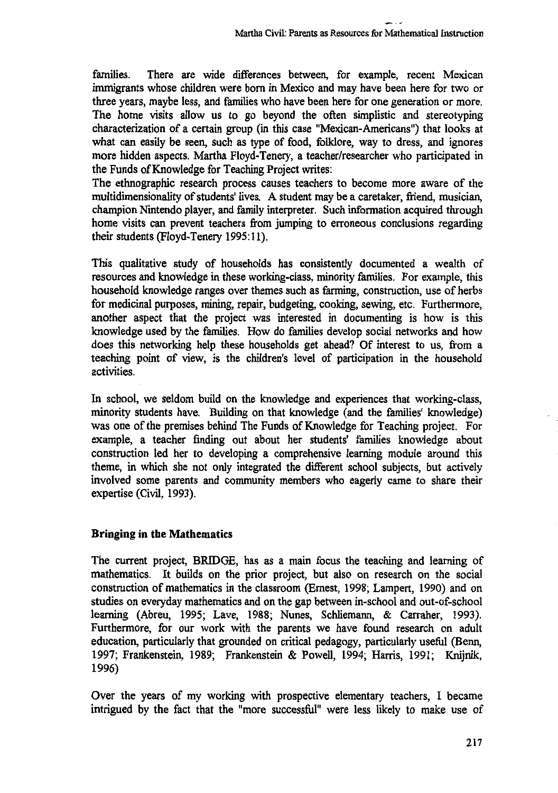**families. There are wide differences between, for example, recent Mexican immigrants whose children were born in Mexico and may have been here for two or three years, maybe less, and families who have been here for one generation or more. The home visits allow us to go beyond the often simplistic and stereotyping characterization of a certain group (in this case "Mexican-Americans") that looks at what can easily be seen, such as type of food, folklore, way to dress, and ignores more hidden aspects. Martha Floyd-Tenery, a teacher/researcher who participated in the Funds of Knowledge for Teaching Project writes:**

**The ethnographic research process causes teachers to become more aware of the multidimensionality of students' lives. A student may be a caretaker, friend, musician, champion Nintendo player, and family interpreter. Such information acquired through home visits can prevent teachers from jumping to erroneous conclusions regarding their students (Floyd-Tenery 1995:11).**

**This qualitative study of households has consistently documented a wealth of resources and knowledge in these working-class, minority families. For example, this household knowledge ranges over themes such as farming, construction, use of herbs for medicinal purposes, mining, repair, budgeting, cooking, sewing, etc. Furthermore, another aspect that the project was interested in documenting is how is this knowledge used by the families. How do families develop social networks and how does this networking help these households get ahead? Of interest to us, from a teaching point of view, is the children's level of participation in the household activities.**

**In school, we seldom build on the knowledge and experiences that working-class, minority students have. Building on that knowledge (and the families' knowledge) was one of the premises behind The Funds of Knowledge for Teaching project. For example, a teacher finding out about her students' families knowledge about construction led her to developing a comprehensive learning module around this theme, in which she not only integrated the different school subjects, but actively involved some parents and community members who eagerly came to share their expertise (Civil, 1993).**

### **Bringing in the Mathematics**

**The current project, BRIDGE, has as a main focus the teaching and learning of mathematics. It builds on the prior project, but also on research on the social construction of mathematics in the classroom (Ernest, 1998; Lampert, 1990) and on studies on everyday mathematics and on the gap between in-school and out-of-school learning (Abreu, 1995; Lave, 1988; Nunes, Schliemann, & Carraher, 1993). Furthermore, for our work with the parents we have found research on adult education, particularly that grounded on critical pedagogy, particularly useful (Benn, 1997; Frankenstein, 1989; Frankenstein & Powell, 1994; Harris, 1991; Knijnik, 1996)**

**Over the years of my working with prospective elementary teachers, I became intrigued by the fact that the "more successful" were less likely to make use of**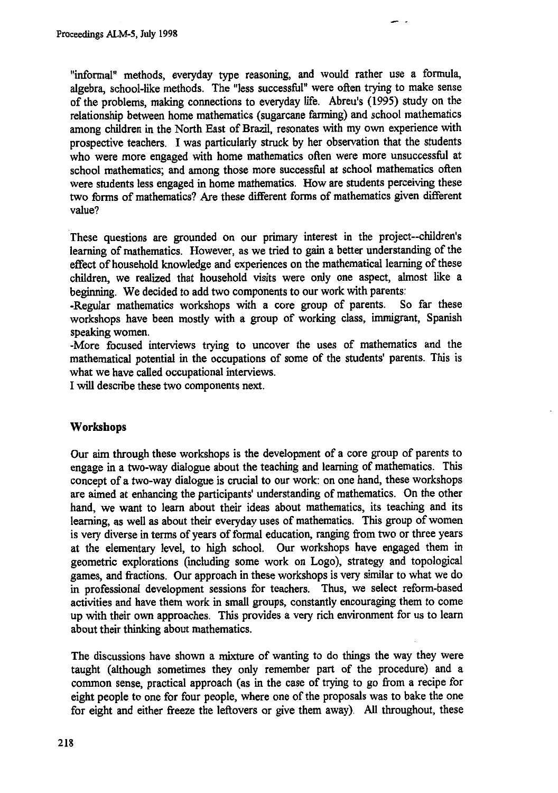**"informal" methods, everyday type reasoning, and would rather use a formula, algebra, school-like methods. The "less successful" were often trying to make sense of the problems, making connections to everyday life. Abreu's (1995) study on the relationship between home mathematics (sugarcane farming) and school mathematics among children in the North East of Brazil, resonates with my own experience with prospective teachers. I was particularly struck by her observation that the students who were more engaged with home mathematics often were more unsuccessful at school mathematics; and among those more successful at school mathematics often were students less engaged in home mathematics. How are students perceiving these two forms of mathematics? Are these different** *forms* **of mathematics given different value?**

**These questions are grounded on our primary interest in the project--children's learning of mathematics. However, as we tried to gain a better understanding of the effect of household knowledge and experiences on the mathematical learning of these children, we realized that household visits were only one aspect, almost like a beginning.** We decided to add two components to our work with parents:<br>-Regular mathematics workshops with a core group of parents. So far these

-Regular mathematics workshops with a core group of parents. **workshops have been mostly with a group of working class, immigrant, Spanish speaking women.**

**-More focused interviews trying to uncover the uses of mathematics and the mathematical potential in the occupations of some of the students' parents. This is what we have called occupational interviews.**

**I will describe these two components next.**

### **Workshops**

**Our aim through these workshops is the development of a core group of parents to engage in a two-way dialogue about the teaching and learning of mathematics. This concept of a two-way dialogue is crucial to our work: on one hand, these workshops are aimed at enhancing the participants' understanding of mathematics. On the other hand, we want to learn about their ideas about mathematics, its teaching and its learning, as well as about their everyday uses of mathematics. This group of women is very diverse in terms of years of formal education, ranging from two or three years at the elementary level, to high school. Our workshops have engaged them in geometric explorations (including some work on Logo), strategy and topological games, and fractions. Our approach in these workshops is very similar to what we do in professional development sessions for teachers. Thus, we select reform-based activities and have them work in small groups, constantly encouraging them to come up with their own approaches. This provides a very rich environment for us to learn about their thinking about mathematics.**

**The discussions have shown a mixture of wanting to do things the way they were taught (although sometimes they only remember part of the procedure) and a common sense, practical approach (as in the case of trying to go from a recipe for eight people to one for four people, where one of the proposals was to bake the one for eight and either freeze the leftovers or give them away). All throughout, these**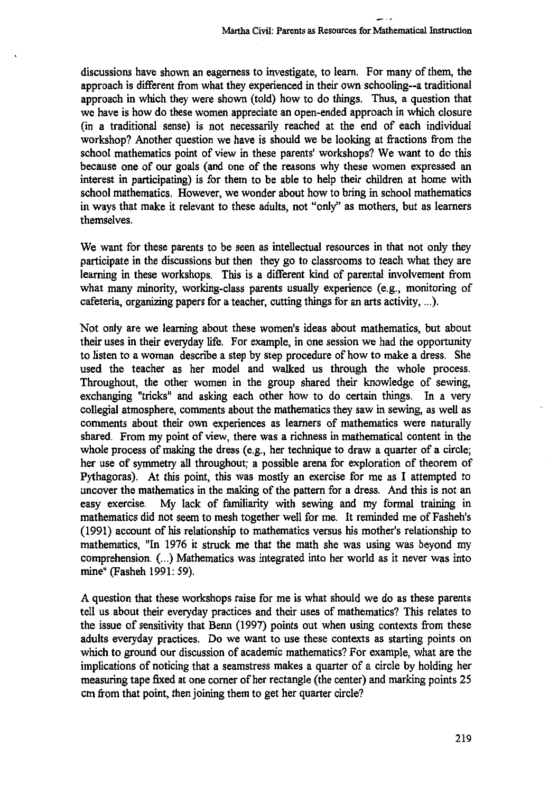**discussions have shown an eagerness to investigate, to learn. For many of them, the approach is different from what they experienced in their own schooling--a traditional approach in which they were shown (told) how to do things. Thus, a question that we have is how do these women appreciate an open-ended approach in which closure (in a traditional sense) is not necessarily reached at the end of each individual workshop? Another question we have is should we be looking at fractions from the school mathematics point of view in these parents' workshops? We want to do this because one of our goals (and one of the reasons why these women expressed an interest in participating) is for them to be able to help their children at home with school mathematics. However, we wonder about how to bring in school mathematics in ways that make it relevant to these adults, not "only" as mothers, but as learners themselves.**

**We want for these parents to be seen as intellectual resources in that not only they participate in the discussions but then they go to classrooms to teach what they are learning in these workshops. This is a different kind of parental involvement from what many minority, working-class parents usually experience (e.g., monitoring of cafeteria, organizing papers for a teacher, cutting things for an arts activity, ...).**

**Not only are we learning about these women's ideas about mathematics, but about their uses in their everyday life. For example, in one session we had the opportunity to listen to a woman describe a step by step procedure of how to make a dress. She used the teacher as her model and walked us through the whole process. Throughout, the other women in the group shared their knowledge of sewing, exchanging "tricks" and asking each other how to do certain things. In a very collegial atmosphere, comments about the mathematics they saw in sewing, as well as comments about their own experiences as learners of mathematics were naturally shared. From my point of view, there was a richness in mathematical content in the whole process of making the dress (e.g., her technique to draw a quarter of a circle; her use of symmetry all throughout; a possible arena for exploration of theorem of Pythagoras). At this point, this was mostly an exercise for me as I attempted to uncover the mathematics in the making of the pattern for a dress. And this is not an easy exercise. My lack of familiarity with sewing and my formal training in mathematics did not seem to mesh together well for me. It reminded me of Fasheh's (1991) account of his relationship to mathematics versus his mother's relationship to mathematics, "In 1976 it struck me that the math she was using was beyond my comprehension. (...) Mathematics was integrated into her world as it never was into mine" (Fasheh 1991: 59).**

**A question that these workshops raise for me is what should we do as these parents tell us about their everyday practices and their uses of mathematics? This relates to the issue of sensitivity that Benn (1997) points out when using contexts from these adults everyday practices. Do we want to use these contexts as starting points on which to ground our discussion of academic mathematics? For example, what are the implications of noticing that a seamstress makes a quarter of a circle by holding her measuring tape fixed at one corner of her rectangle (the center) and marking points 25 cm from that point, then joining them to get her quarter circle?**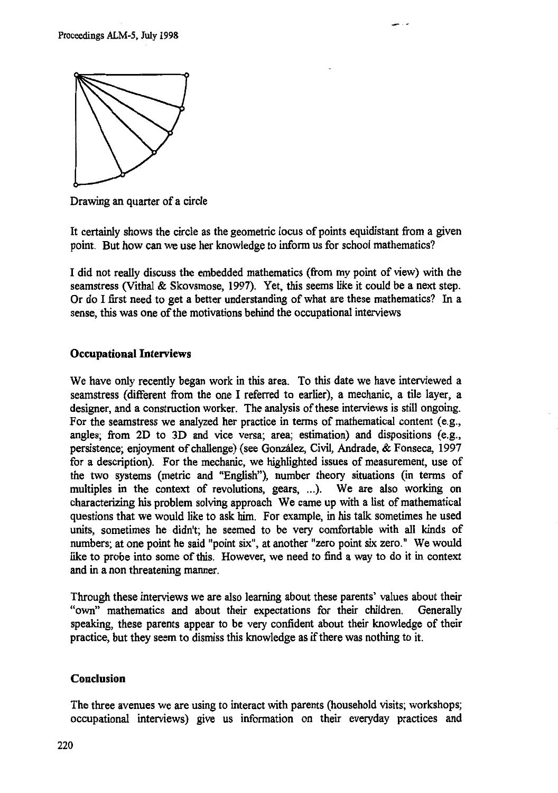

Drawing an quarter of a circle

It certainly shows the circle as the geometric locus of points equidistant from a given point. But how can we use her knowledge to inform us for school mathematics?

I did not really discuss the embedded mathematics (from my point of view) with the seamstress (Vithal & Skovsmose, 1997). Yet, this seems like it could be a **next** step. Or do I first need to get a better understanding of what are these mathematics? In a sense, this was one of the motivations behind the occupational interviews

## **Occupational Interviews**

We have only recently began work in this area. To this date we have interviewed a seamstress (different from the one I referred to earlier), a mechanic, a tile layer, a designer, and a construction worker. The analysis of these interviews is still ongoing. For the seamstress we analyzed her practice in terms of mathematical content (e.g., angles; from 2D to 3D and vice versa; area; estimation) and dispositions (e.g., persistence; enjoyment of challenge) (see González, Civil, Andrade, & Fonseca, 1997 for a description). For the mechanic, we highlighted issues of measurement, use of the two systems (metric and "English"), number theory situations (in terms of multiples in the context of revolutions, gears, ...). We are also working on characterizing his problem solving approach We came up with a list of mathematical questions that we would like to ask him. For example, in his talk sometimes he used units, sometimes he didn't; he seemed to be very comfortable with all kinds of numbers; at one point he said "point six", at another "zero point six zero." We would like to probe into some of this. However, we need to find a way to do it in context and in a non threatening manner.

Through these interviews we are also learning about these parents' values about their "own" mathematics and about their expectations for their children. Generally speaking, these parents appear to be very confident about their knowledge of their practice, but they seem to dismiss this knowledge as if there was nothing to it.

## **Conclusion**

The three avenues we are using to interact with parents (household visits; workshops; occupational interviews) give us information on their everyday practices and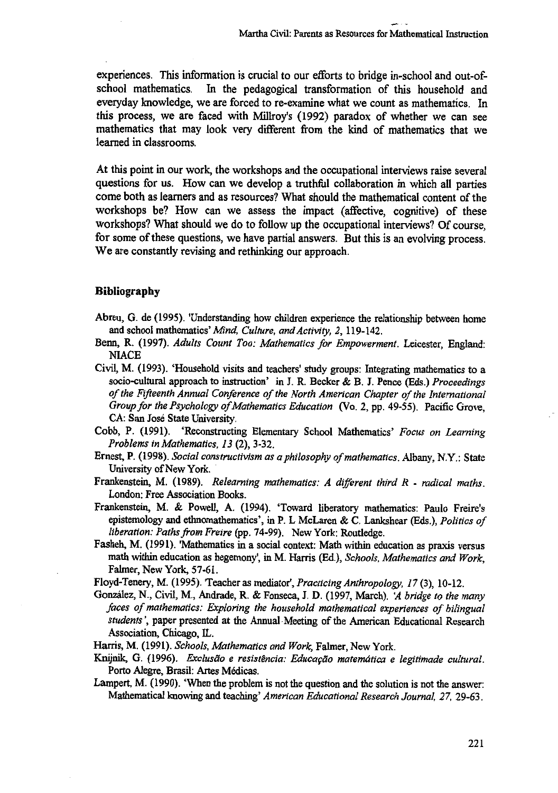**experiences. This information is crucial to our efforts to bridge in-school and out-ofschool mathematics. In the pedagogical transformation of this household and everyday knowledge, we are forced to re-examine what we count as mathematics. In this process, we are faced with Milh-oy's (1992) paradox of whether we can see mathematics that may look very different from the kind of mathematics that we learned in classrooms.**

**At this point in our work, the workshops and the occupational interviews raise several questions for us. How can we develop a truthful collaboration in which all parties come both as learners and as resources? What should the mathematical content of the workshops be? How can we assess the impact (affective, cognitive) of these workshops? What should we do to follow up the occupational interviews? Of course, for some of these questions, we have partial answers. But this is an evolving process. We are constantly revising and rethinking our approach.**

#### **Bibliography**

- Abreu, G. de (1995). 'Understanding how children experience the relationship between home and school mathematics' *Mind, Culture, and Activity, 2,* 119-142.
- Benn, R. (1997). *Adults Count Too: Mathematics for Empowerment.* Leicester, England: **NIACE**
- Civil, M. (1993). 'Household visits and teachers' study groups: Integrating mathematics to a socio-cultural approach to instruction' in J. R. Becker & B. J. Pence (Eds.) *Proceedings of the Fifteenth Annual Conference of the North American Chapter of the International Group for the Psychology of Mathematics Education* (Vo. 2, pp. 49-55). Pacific Grove, CA: San Jose State University.
- Cobb, P. (1991). 'Reconstructing Elementary School Mathematics' *Focus on Learning Problems in Mathematics, 13* (2), 3-32.
- Ernest, P. (1998). *Social constructivism as a philosophy of mathematics.* Albany, N.Y.: State University of New York.
- Frankenstein, M. (1989). *Relearning mathematics: A different third R radical maths.* London: Free Association Books.
- Frankenstein, M. & Powell, A. (1994). 'Toward liberatory mathematics: Paulo Freire's epistemology and ethnomathematics', in P. L McLaren & C. Lankshear (Eds.), *Politics of liberation: Paths from Freire* (pp. 74-99). New York: Routledge.
- Fasheh, M. (1991). 'Mathematics in a social context: Math within education as praxis versus math within education as hegemony', in M. Harris (Ed.), *Schools, Mathematics and Work,* Falmer, New York, 57-61.
- Floyd-Tenery, M. (1995). 'Teacher as mediator', *Practicing Anthropology, 17* (3), 10-12.
- González, N., Civil, M., Andrade, R. & Fonseca, J. D. (1997, March). 'A bridge to the many *faces of mathematics: Exploring the household mathematical experiences of bilingual students',* paper presented at the Annual Meeting of the American Educational Research Association, Chicago, IL.
- Harris, M. (1991). *Schools, Mathematics and Work,* Falmer, New York.
- Knijnik, G. (1996). *Exclusão e resistência: Educação matemática e legitimade cultural*. Porto Alegre, Brasil: Artes Médicas.
- Lampert, M. (1990). 'When the problem is not the question and the solution is not the answer: Mathematical knowing and teaching' *American Educational Research Journal, 27,* 29-63.